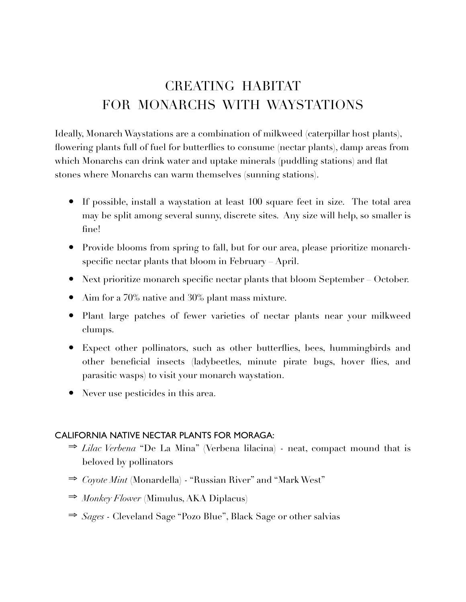# CREATING HABITAT FOR MONARCHS WITH WAYSTATIONS

Ideally, Monarch Waystations are a combination of milkweed (caterpillar host plants), flowering plants full of fuel for butterflies to consume (nectar plants), damp areas from which Monarchs can drink water and uptake minerals (puddling stations) and flat stones where Monarchs can warm themselves (sunning stations).

- If possible, install a waystation at least 100 square feet in size. The total area may be split among several sunny, discrete sites. Any size will help, so smaller is fine!
- Provide blooms from spring to fall, but for our area, please prioritize monarchspecific nectar plants that bloom in February – April.
- Next prioritize monarch specific nectar plants that bloom September October.
- Aim for a 70% native and 30% plant mass mixture.
- Plant large patches of fewer varieties of nectar plants near your milkweed clumps.
- Expect other pollinators, such as other butterflies, bees, hummingbirds and other beneficial insects (ladybeetles, minute pirate bugs, hover flies, and parasitic wasps) to visit your monarch waystation.
- Never use pesticides in this area.

#### CALIFORNIA NATIVE NECTAR PLANTS FOR MORAGA:

- ⇒ *Lilac Verbena* "De La Mina" (Verbena lilacina) neat, compact mound that is beloved by pollinators
- ⇒ *Coyote Mint* (Monardella) "Russian River" and "Mark West"
- ⇒ *Monkey Flower* (Mimulus, AKA Diplacus)
- ⇒ *Sages*  Cleveland Sage "Pozo Blue", Black Sage or other salvias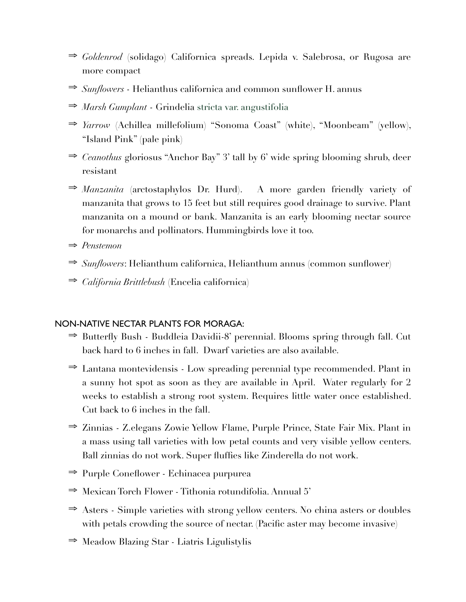- ⇒ *Goldenrod* (solidago) Californica spreads. Lepida v. Salebrosa, or Rugosa are more compact
- ⇒ *Sunflowers*  Helianthus californica and common sunflower H. annus
- ⇒ *Marsh Gumplant* Grindelia stricta var. angustifolia
- ⇒ *Yarrow* (Achillea millefolium) "Sonoma Coast" (white), "Moonbeam" (yellow), "Island Pink" (pale pink)
- ⇒ *Ceanothus* gloriosus "Anchor Bay" 3' tall by 6' wide spring blooming shrub, deer resistant
- ⇒ *Manzanita* (arctostaphylos Dr. Hurd). A more garden friendly variety of manzanita that grows to 15 feet but still requires good drainage to survive. Plant manzanita on a mound or bank. Manzanita is an early blooming nectar source for monarchs and pollinators. Hummingbirds love it too.
- ⇒ *Penstemon*
- ⇒ *Sunflowers*: Helianthum californica, Helianthum annus (common sunflower)
- ⇒ *California Brittlebush* (Encelia californica)

### NON-NATIVE NECTAR PLANTS FOR MORAGA:

- ⇒ Butterfly Bush Buddleia Davidii-8' perennial. Blooms spring through fall. Cut back hard to 6 inches in fall. Dwarf varieties are also available.
- ⇒ Lantana montevidensis Low spreading perennial type recommended. Plant in a sunny hot spot as soon as they are available in April. Water regularly for 2 weeks to establish a strong root system. Requires little water once established. Cut back to 6 inches in the fall.
- ⇒ Zinnias Z.elegans Zowie Yellow Flame, Purple Prince, State Fair Mix. Plant in a mass using tall varieties with low petal counts and very visible yellow centers. Ball zinnias do not work. Super fluffies like Zinderella do not work.
- ⇒ Purple Coneflower Echinacea purpurea
- ⇒ Mexican Torch Flower Tithonia rotundifolia. Annual 5'
- ⇒ Asters Simple varieties with strong yellow centers. No china asters or doubles with petals crowding the source of nectar. (Pacific aster may become invasive)
- ⇒ Meadow Blazing Star Liatris Ligulistylis